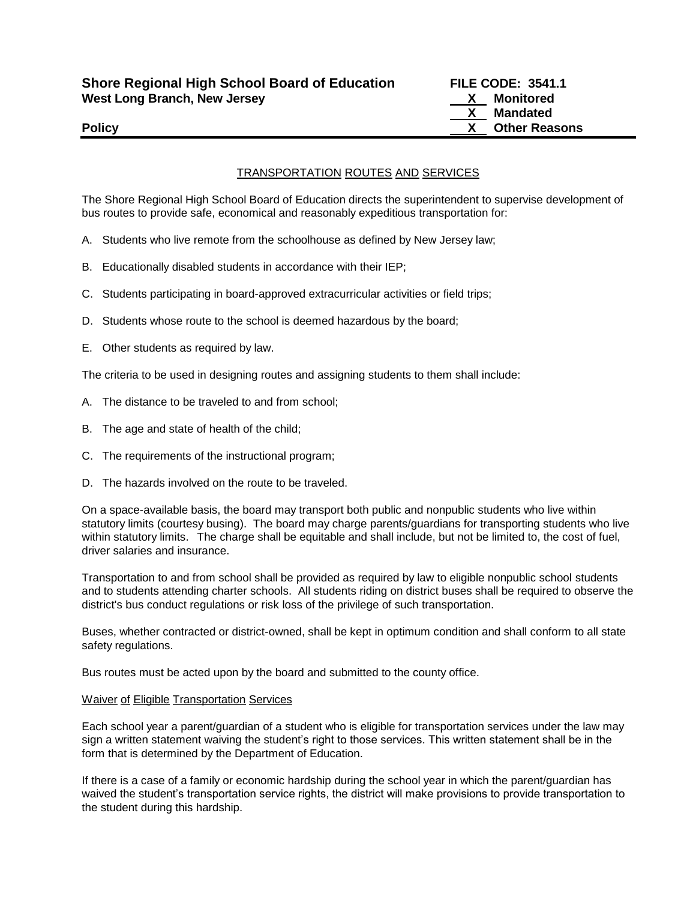# TRANSPORTATION ROUTES AND SERVICES

The Shore Regional High School Board of Education directs the superintendent to supervise development of bus routes to provide safe, economical and reasonably expeditious transportation for:

- A. Students who live remote from the schoolhouse as defined by New Jersey law;
- B. Educationally disabled students in accordance with their IEP;
- C. Students participating in board-approved extracurricular activities or field trips;
- D. Students whose route to the school is deemed hazardous by the board;
- E. Other students as required by law.

The criteria to be used in designing routes and assigning students to them shall include:

- A. The distance to be traveled to and from school;
- B. The age and state of health of the child;
- C. The requirements of the instructional program;
- D. The hazards involved on the route to be traveled.

On a space-available basis, the board may transport both public and nonpublic students who live within statutory limits (courtesy busing). The board may charge parents/guardians for transporting students who live within statutory limits. The charge shall be equitable and shall include, but not be limited to, the cost of fuel, driver salaries and insurance.

Transportation to and from school shall be provided as required by law to eligible nonpublic school students and to students attending charter schools. All students riding on district buses shall be required to observe the district's bus conduct regulations or risk loss of the privilege of such transportation.

Buses, whether contracted or district-owned, shall be kept in optimum condition and shall conform to all state safety regulations.

Bus routes must be acted upon by the board and submitted to the county office.

#### Waiver of Eligible Transportation Services

Each school year a parent/guardian of a student who is eligible for transportation services under the law may sign a written statement waiving the student's right to those services. This written statement shall be in the form that is determined by the Department of Education.

If there is a case of a family or economic hardship during the school year in which the parent/guardian has waived the student's transportation service rights, the district will make provisions to provide transportation to the student during this hardship.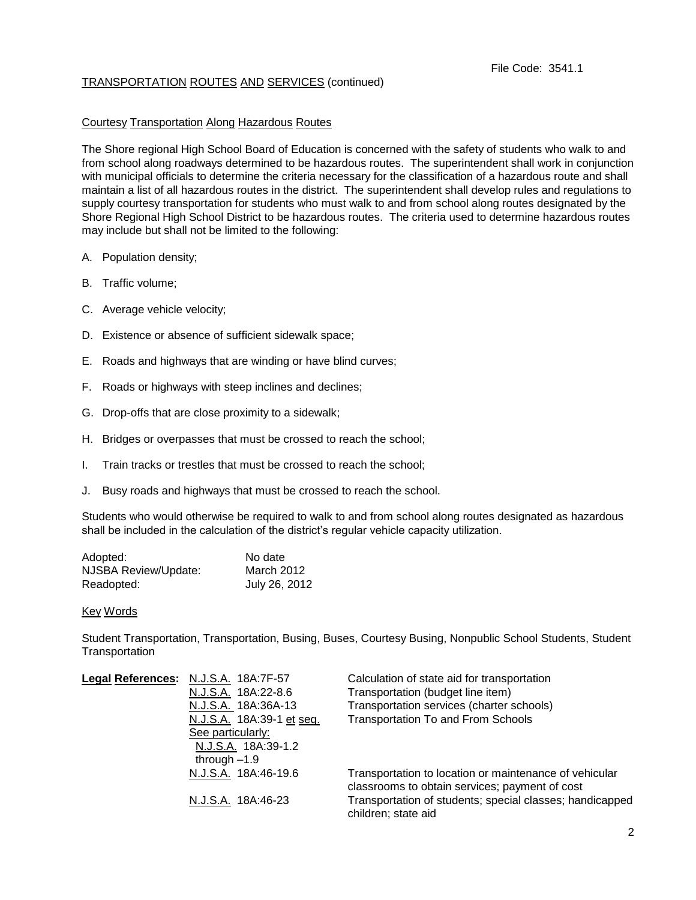# TRANSPORTATION ROUTES AND SERVICES (continued)

## Courtesy Transportation Along Hazardous Routes

The Shore regional High School Board of Education is concerned with the safety of students who walk to and from school along roadways determined to be hazardous routes. The superintendent shall work in conjunction with municipal officials to determine the criteria necessary for the classification of a hazardous route and shall maintain a list of all hazardous routes in the district. The superintendent shall develop rules and regulations to supply courtesy transportation for students who must walk to and from school along routes designated by the Shore Regional High School District to be hazardous routes. The criteria used to determine hazardous routes may include but shall not be limited to the following:

- A. Population density;
- B. Traffic volume;
- C. Average vehicle velocity;
- D. Existence or absence of sufficient sidewalk space;
- E. Roads and highways that are winding or have blind curves;
- F. Roads or highways with steep inclines and declines;
- G. Drop-offs that are close proximity to a sidewalk;
- H. Bridges or overpasses that must be crossed to reach the school;
- I. Train tracks or trestles that must be crossed to reach the school;
- J. Busy roads and highways that must be crossed to reach the school.

Students who would otherwise be required to walk to and from school along routes designated as hazardous shall be included in the calculation of the district's regular vehicle capacity utilization.

| Adopted:             | No date       |
|----------------------|---------------|
| NJSBA Review/Update: | March 2012    |
| Readopted:           | July 26, 2012 |

#### Key Words

Student Transportation, Transportation, Busing, Buses, Courtesy Busing, Nonpublic School Students, Student **Transportation** 

| Legal References: N.J.S.A. 18A:7F-57 | Calculation of state aid for transportation                                                              |
|--------------------------------------|----------------------------------------------------------------------------------------------------------|
| N.J.S.A. 18A:22-8.6                  | Transportation (budget line item)                                                                        |
| N.J.S.A. 18A:36A-13                  | Transportation services (charter schools)                                                                |
| N.J.S.A. 18A:39-1 et seq.            | <b>Transportation To and From Schools</b>                                                                |
| See particularly:                    |                                                                                                          |
| N.J.S.A. 18A:39-1.2                  |                                                                                                          |
| through $-1.9$                       |                                                                                                          |
| N.J.S.A. 18A:46-19.6                 | Transportation to location or maintenance of vehicular<br>classrooms to obtain services; payment of cost |
| N.J.S.A. 18A:46-23                   | Transportation of students; special classes; handicapped<br>children; state aid                          |